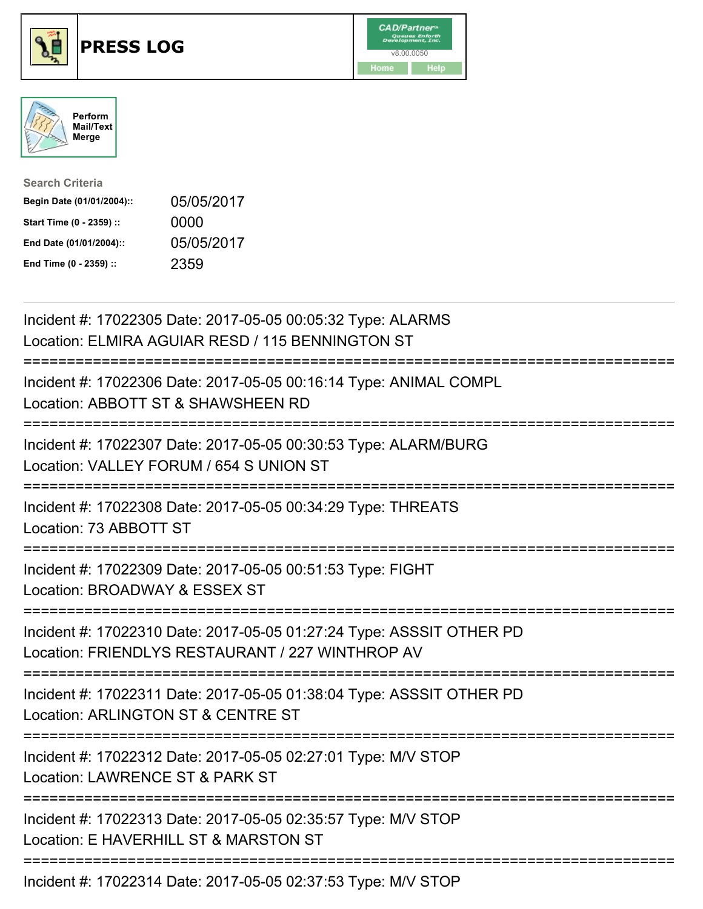





| <b>Search Criteria</b>    |            |
|---------------------------|------------|
| Begin Date (01/01/2004):: | 05/05/2017 |
| Start Time (0 - 2359) ::  | 0000       |
| End Date (01/01/2004)::   | 05/05/2017 |
| End Time (0 - 2359) ::    | 2359       |

| Incident #: 17022305 Date: 2017-05-05 00:05:32 Type: ALARMS<br>Location: ELMIRA AGUIAR RESD / 115 BENNINGTON ST                                   |
|---------------------------------------------------------------------------------------------------------------------------------------------------|
| Incident #: 17022306 Date: 2017-05-05 00:16:14 Type: ANIMAL COMPL<br>Location: ABBOTT ST & SHAWSHEEN RD                                           |
| Incident #: 17022307 Date: 2017-05-05 00:30:53 Type: ALARM/BURG<br>Location: VALLEY FORUM / 654 S UNION ST<br>:===========================        |
| Incident #: 17022308 Date: 2017-05-05 00:34:29 Type: THREATS<br>Location: 73 ABBOTT ST                                                            |
| Incident #: 17022309 Date: 2017-05-05 00:51:53 Type: FIGHT<br>Location: BROADWAY & ESSEX ST<br>:=========================                         |
| Incident #: 17022310 Date: 2017-05-05 01:27:24 Type: ASSSIT OTHER PD<br>Location: FRIENDLYS RESTAURANT / 227 WINTHROP AV                          |
| Incident #: 17022311 Date: 2017-05-05 01:38:04 Type: ASSSIT OTHER PD<br>Location: ARLINGTON ST & CENTRE ST<br>:================================== |
| Incident #: 17022312 Date: 2017-05-05 02:27:01 Type: M/V STOP<br>Location: LAWRENCE ST & PARK ST                                                  |
| Incident #: 17022313 Date: 2017-05-05 02:35:57 Type: M/V STOP<br>Location: E HAVERHILL ST & MARSTON ST                                            |
| $l$ poident # $l$ , 17000014 Deter 2017 OF OF 00:07.50 Tupe: MALCTOD                                                                              |

Incident #: 17022314 Date: 2017-05-05 02:37:53 Type: M/V STOP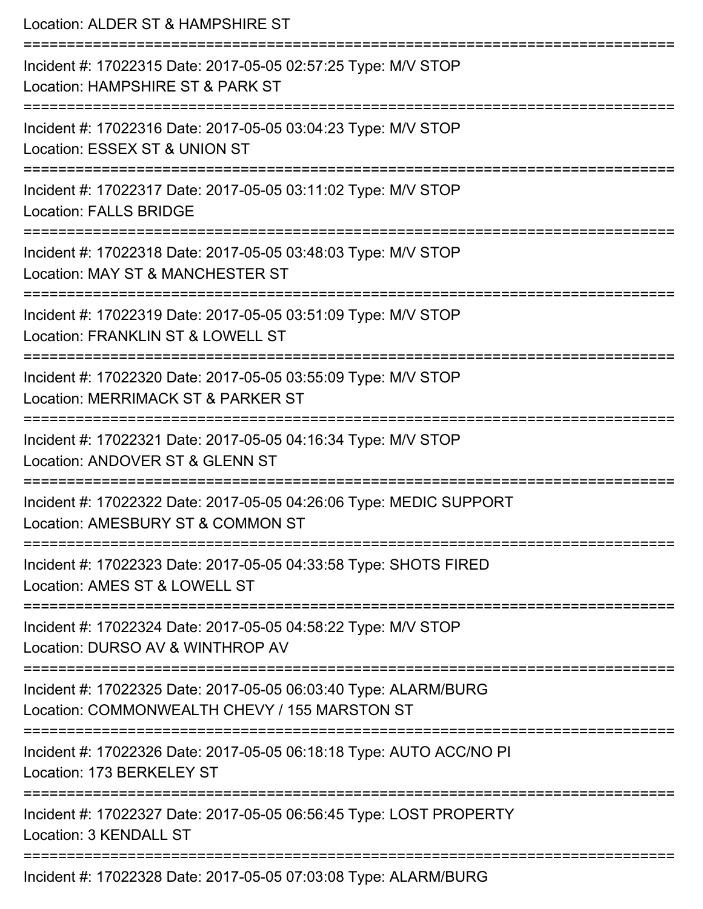| Location: ALDER ST & HAMPSHIRE ST<br>:=======================                                                                          |
|----------------------------------------------------------------------------------------------------------------------------------------|
| Incident #: 17022315 Date: 2017-05-05 02:57:25 Type: M/V STOP<br>Location: HAMPSHIRE ST & PARK ST                                      |
| Incident #: 17022316 Date: 2017-05-05 03:04:23 Type: M/V STOP<br>Location: ESSEX ST & UNION ST<br>------------------------------------ |
| Incident #: 17022317 Date: 2017-05-05 03:11:02 Type: M/V STOP<br>Location: FALLS BRIDGE                                                |
| Incident #: 17022318 Date: 2017-05-05 03:48:03 Type: M/V STOP<br>Location: MAY ST & MANCHESTER ST                                      |
| Incident #: 17022319 Date: 2017-05-05 03:51:09 Type: M/V STOP<br>Location: FRANKLIN ST & LOWELL ST<br>:==========================      |
| Incident #: 17022320 Date: 2017-05-05 03:55:09 Type: M/V STOP<br>Location: MERRIMACK ST & PARKER ST                                    |
| Incident #: 17022321 Date: 2017-05-05 04:16:34 Type: M/V STOP<br>Location: ANDOVER ST & GLENN ST                                       |
| Incident #: 17022322 Date: 2017-05-05 04:26:06 Type: MEDIC SUPPORT<br>Location: AMESBURY ST & COMMON ST                                |
| Incident #: 17022323 Date: 2017-05-05 04:33:58 Type: SHOTS FIRED<br>Location: AMES ST & LOWELL ST                                      |
| Incident #: 17022324 Date: 2017-05-05 04:58:22 Type: M/V STOP<br>Location: DURSO AV & WINTHROP AV                                      |
| Incident #: 17022325 Date: 2017-05-05 06:03:40 Type: ALARM/BURG<br>Location: COMMONWEALTH CHEVY / 155 MARSTON ST                       |
| Incident #: 17022326 Date: 2017-05-05 06:18:18 Type: AUTO ACC/NO PI<br>Location: 173 BERKELEY ST                                       |
| Incident #: 17022327 Date: 2017-05-05 06:56:45 Type: LOST PROPERTY<br>Location: 3 KENDALL ST                                           |
| Incident #: 17022328 Date: 2017-05-05 07:03:08 Type: ALARM/BURG                                                                        |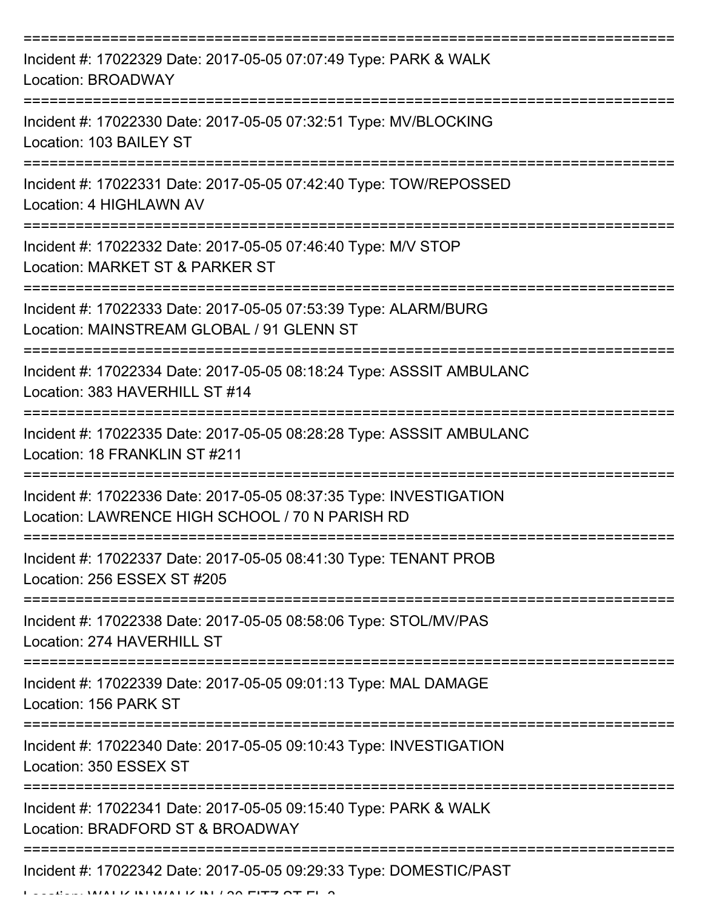| Incident #: 17022329 Date: 2017-05-05 07:07:49 Type: PARK & WALK<br>Location: BROADWAY                                |
|-----------------------------------------------------------------------------------------------------------------------|
| Incident #: 17022330 Date: 2017-05-05 07:32:51 Type: MV/BLOCKING<br>Location: 103 BAILEY ST                           |
| Incident #: 17022331 Date: 2017-05-05 07:42:40 Type: TOW/REPOSSED<br>Location: 4 HIGHLAWN AV                          |
| Incident #: 17022332 Date: 2017-05-05 07:46:40 Type: M/V STOP<br>Location: MARKET ST & PARKER ST                      |
| Incident #: 17022333 Date: 2017-05-05 07:53:39 Type: ALARM/BURG<br>Location: MAINSTREAM GLOBAL / 91 GLENN ST          |
| Incident #: 17022334 Date: 2017-05-05 08:18:24 Type: ASSSIT AMBULANC<br>Location: 383 HAVERHILL ST #14                |
| Incident #: 17022335 Date: 2017-05-05 08:28:28 Type: ASSSIT AMBULANC<br>Location: 18 FRANKLIN ST #211                 |
| Incident #: 17022336 Date: 2017-05-05 08:37:35 Type: INVESTIGATION<br>Location: LAWRENCE HIGH SCHOOL / 70 N PARISH RD |
| Incident #: 17022337 Date: 2017-05-05 08:41:30 Type: TENANT PROB<br>Location: 256 ESSEX ST #205                       |
| Incident #: 17022338 Date: 2017-05-05 08:58:06 Type: STOL/MV/PAS<br>Location: 274 HAVERHILL ST                        |
| Incident #: 17022339 Date: 2017-05-05 09:01:13 Type: MAL DAMAGE<br>Location: 156 PARK ST                              |
| Incident #: 17022340 Date: 2017-05-05 09:10:43 Type: INVESTIGATION<br>Location: 350 ESSEX ST                          |
| Incident #: 17022341 Date: 2017-05-05 09:15:40 Type: PARK & WALK<br>Location: BRADFORD ST & BROADWAY                  |
| Incident #: 17022342 Date: 2017-05-05 09:29:33 Type: DOMESTIC/PAST                                                    |

LOCATION: WALK IN WALK IN LOOP FITT OF FL 3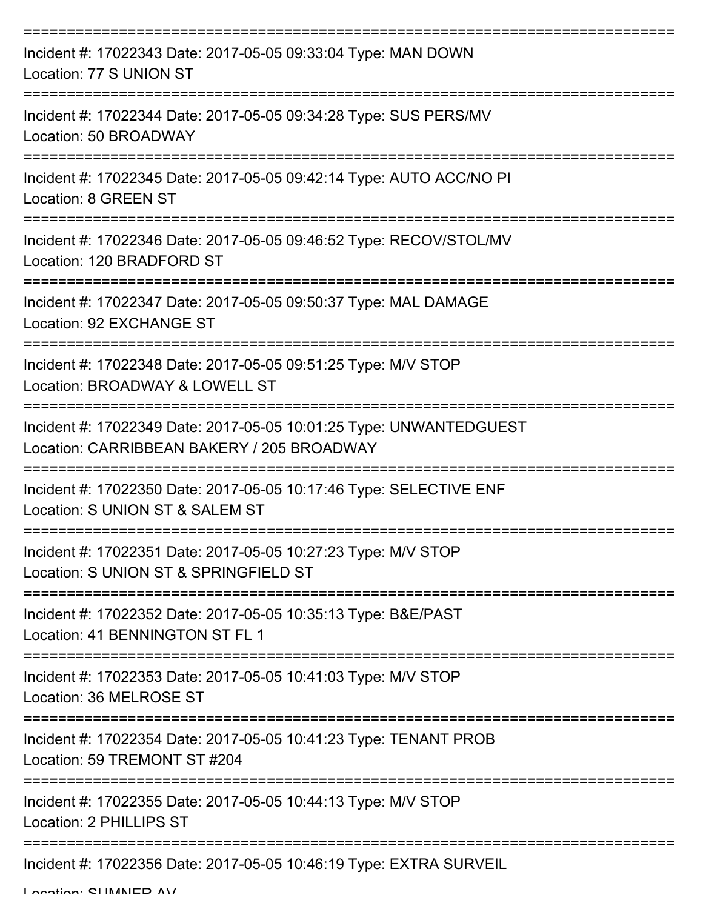| Incident #: 17022343 Date: 2017-05-05 09:33:04 Type: MAN DOWN<br>Location: 77 S UNION ST                         |
|------------------------------------------------------------------------------------------------------------------|
| Incident #: 17022344 Date: 2017-05-05 09:34:28 Type: SUS PERS/MV<br>Location: 50 BROADWAY                        |
| Incident #: 17022345 Date: 2017-05-05 09:42:14 Type: AUTO ACC/NO PI<br><b>Location: 8 GREEN ST</b>               |
| Incident #: 17022346 Date: 2017-05-05 09:46:52 Type: RECOV/STOL/MV<br>Location: 120 BRADFORD ST                  |
| Incident #: 17022347 Date: 2017-05-05 09:50:37 Type: MAL DAMAGE<br>Location: 92 EXCHANGE ST                      |
| Incident #: 17022348 Date: 2017-05-05 09:51:25 Type: M/V STOP<br>Location: BROADWAY & LOWELL ST                  |
| Incident #: 17022349 Date: 2017-05-05 10:01:25 Type: UNWANTEDGUEST<br>Location: CARRIBBEAN BAKERY / 205 BROADWAY |
| Incident #: 17022350 Date: 2017-05-05 10:17:46 Type: SELECTIVE ENF<br>Location: S UNION ST & SALEM ST            |
| Incident #: 17022351 Date: 2017-05-05 10:27:23 Type: M/V STOP<br>Location: S UNION ST & SPRINGFIELD ST           |
| Incident #: 17022352 Date: 2017-05-05 10:35:13 Type: B&E/PAST<br>Location: 41 BENNINGTON ST FL 1                 |
| Incident #: 17022353 Date: 2017-05-05 10:41:03 Type: M/V STOP<br>Location: 36 MELROSE ST                         |
| Incident #: 17022354 Date: 2017-05-05 10:41:23 Type: TENANT PROB<br>Location: 59 TREMONT ST #204                 |
| Incident #: 17022355 Date: 2017-05-05 10:44:13 Type: M/V STOP<br>Location: 2 PHILLIPS ST                         |
| Incident #: 17022356 Date: 2017-05-05 10:46:19 Type: EXTRA SURVEIL                                               |

Location: CLIMANED AV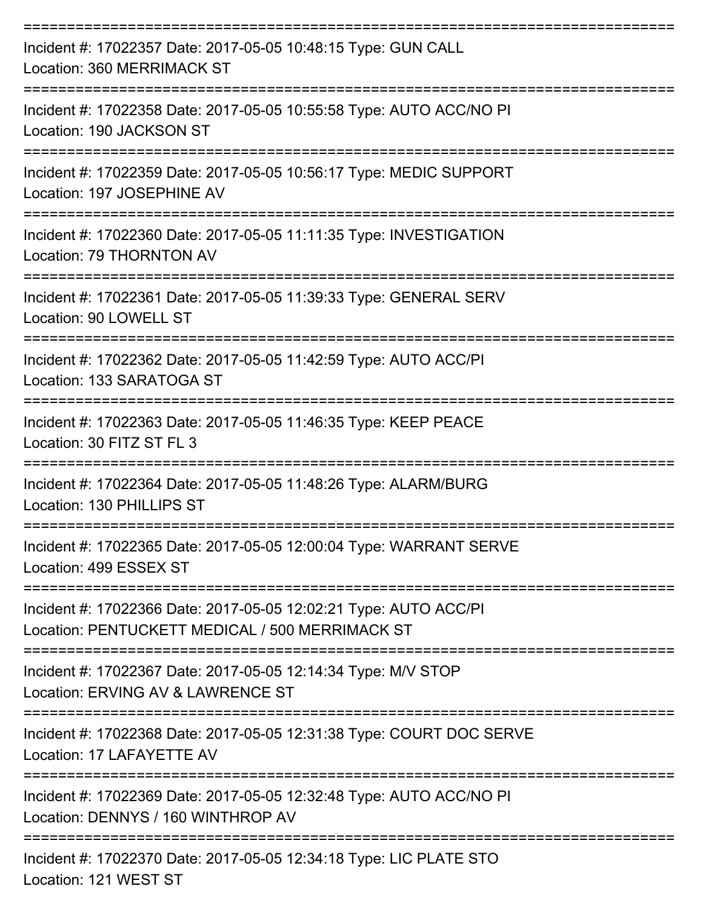| Incident #: 17022357 Date: 2017-05-05 10:48:15 Type: GUN CALL<br>Location: 360 MERRIMACK ST<br>:================================= |
|-----------------------------------------------------------------------------------------------------------------------------------|
| Incident #: 17022358 Date: 2017-05-05 10:55:58 Type: AUTO ACC/NO PI<br>Location: 190 JACKSON ST                                   |
| Incident #: 17022359 Date: 2017-05-05 10:56:17 Type: MEDIC SUPPORT<br>Location: 197 JOSEPHINE AV                                  |
| Incident #: 17022360 Date: 2017-05-05 11:11:35 Type: INVESTIGATION<br>Location: 79 THORNTON AV                                    |
| Incident #: 17022361 Date: 2017-05-05 11:39:33 Type: GENERAL SERV<br>Location: 90 LOWELL ST                                       |
| Incident #: 17022362 Date: 2017-05-05 11:42:59 Type: AUTO ACC/PI<br>Location: 133 SARATOGA ST                                     |
| ====================<br>Incident #: 17022363 Date: 2017-05-05 11:46:35 Type: KEEP PEACE<br>Location: 30 FITZ ST FL 3              |
| Incident #: 17022364 Date: 2017-05-05 11:48:26 Type: ALARM/BURG<br>Location: 130 PHILLIPS ST                                      |
| Incident #: 17022365 Date: 2017-05-05 12:00:04 Type: WARRANT SERVE<br>Location: 499 ESSEX ST                                      |
| Incident #: 17022366 Date: 2017-05-05 12:02:21 Type: AUTO ACC/PI<br>Location: PENTUCKETT MEDICAL / 500 MERRIMACK ST               |
| Incident #: 17022367 Date: 2017-05-05 12:14:34 Type: M/V STOP<br>Location: ERVING AV & LAWRENCE ST                                |
| Incident #: 17022368 Date: 2017-05-05 12:31:38 Type: COURT DOC SERVE<br>Location: 17 LAFAYETTE AV                                 |
| Incident #: 17022369 Date: 2017-05-05 12:32:48 Type: AUTO ACC/NO PI<br>Location: DENNYS / 160 WINTHROP AV                         |
| Incident #: 17022370 Date: 2017-05-05 12:34:18 Type: LIC PLATE STO                                                                |

Location: 121 WEST ST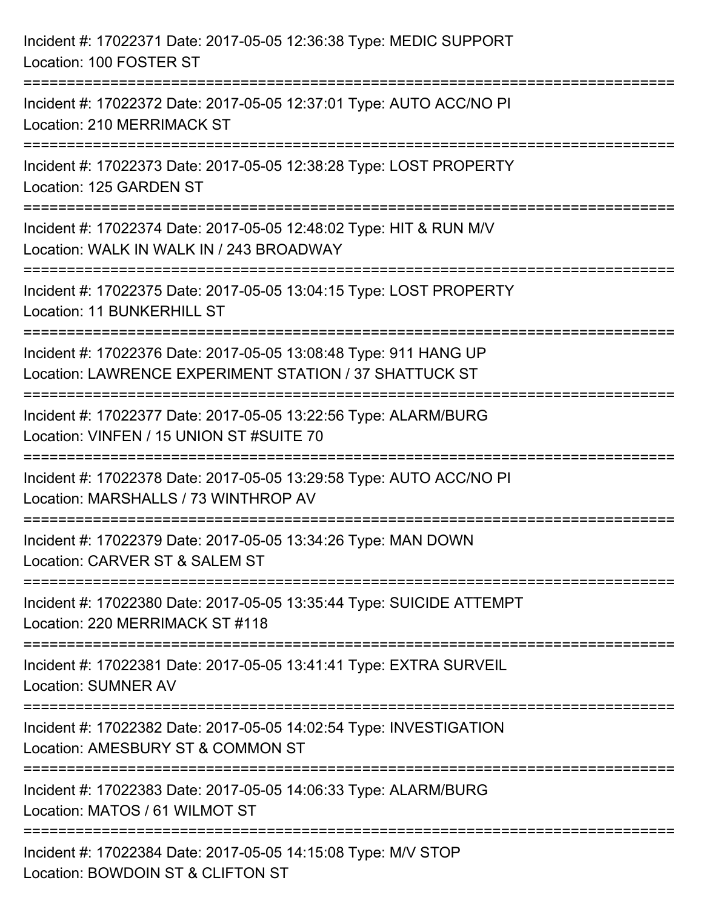| Incident #: 17022371 Date: 2017-05-05 12:36:38 Type: MEDIC SUPPORT<br>Location: 100 FOSTER ST                                                          |
|--------------------------------------------------------------------------------------------------------------------------------------------------------|
| Incident #: 17022372 Date: 2017-05-05 12:37:01 Type: AUTO ACC/NO PI<br>Location: 210 MERRIMACK ST                                                      |
| Incident #: 17022373 Date: 2017-05-05 12:38:28 Type: LOST PROPERTY<br>Location: 125 GARDEN ST<br>==============================                        |
| Incident #: 17022374 Date: 2017-05-05 12:48:02 Type: HIT & RUN M/V<br>Location: WALK IN WALK IN / 243 BROADWAY<br>:=================================== |
| Incident #: 17022375 Date: 2017-05-05 13:04:15 Type: LOST PROPERTY<br><b>Location: 11 BUNKERHILL ST</b>                                                |
| Incident #: 17022376 Date: 2017-05-05 13:08:48 Type: 911 HANG UP<br>Location: LAWRENCE EXPERIMENT STATION / 37 SHATTUCK ST                             |
| Incident #: 17022377 Date: 2017-05-05 13:22:56 Type: ALARM/BURG<br>Location: VINFEN / 15 UNION ST #SUITE 70                                            |
| Incident #: 17022378 Date: 2017-05-05 13:29:58 Type: AUTO ACC/NO PI<br>Location: MARSHALLS / 73 WINTHROP AV                                            |
| Incident #: 17022379 Date: 2017-05-05 13:34:26 Type: MAN DOWN<br>Location: CARVER ST & SALEM ST                                                        |
| Incident #: 17022380 Date: 2017-05-05 13:35:44 Type: SUICIDE ATTEMPT<br>Location: 220 MERRIMACK ST #118                                                |
| Incident #: 17022381 Date: 2017-05-05 13:41:41 Type: EXTRA SURVEIL<br><b>Location: SUMNER AV</b>                                                       |
| Incident #: 17022382 Date: 2017-05-05 14:02:54 Type: INVESTIGATION<br>Location: AMESBURY ST & COMMON ST                                                |
| Incident #: 17022383 Date: 2017-05-05 14:06:33 Type: ALARM/BURG<br>Location: MATOS / 61 WILMOT ST                                                      |
| Incident #: 17022384 Date: 2017-05-05 14:15:08 Type: M/V STOP<br>Location: BOWDOIN ST & CLIFTON ST                                                     |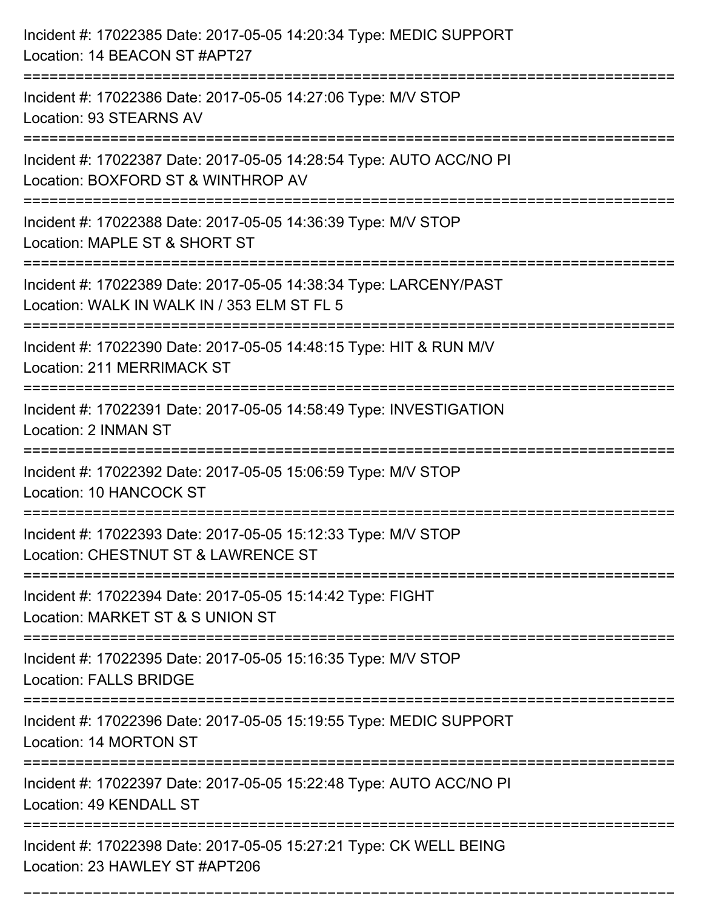| Incident #: 17022385 Date: 2017-05-05 14:20:34 Type: MEDIC SUPPORT<br>Location: 14 BEACON ST #APT27                                         |
|---------------------------------------------------------------------------------------------------------------------------------------------|
| =======================<br>Incident #: 17022386 Date: 2017-05-05 14:27:06 Type: M/V STOP<br>Location: 93 STEARNS AV                         |
| Incident #: 17022387 Date: 2017-05-05 14:28:54 Type: AUTO ACC/NO PI<br>Location: BOXFORD ST & WINTHROP AV<br>===========================    |
| Incident #: 17022388 Date: 2017-05-05 14:36:39 Type: M/V STOP<br>Location: MAPLE ST & SHORT ST                                              |
| Incident #: 17022389 Date: 2017-05-05 14:38:34 Type: LARCENY/PAST<br>Location: WALK IN WALK IN / 353 ELM ST FL 5<br>======================= |
| Incident #: 17022390 Date: 2017-05-05 14:48:15 Type: HIT & RUN M/V<br>Location: 211 MERRIMACK ST                                            |
| Incident #: 17022391 Date: 2017-05-05 14:58:49 Type: INVESTIGATION<br>Location: 2 INMAN ST                                                  |
| Incident #: 17022392 Date: 2017-05-05 15:06:59 Type: M/V STOP<br>Location: 10 HANCOCK ST                                                    |
| Incident #: 17022393 Date: 2017-05-05 15:12:33 Type: M/V STOP<br>Location: CHESTNUT ST & LAWRENCE ST                                        |
| Incident #: 17022394 Date: 2017-05-05 15:14:42 Type: FIGHT<br>Location: MARKET ST & S UNION ST                                              |
| Incident #: 17022395 Date: 2017-05-05 15:16:35 Type: M/V STOP<br><b>Location: FALLS BRIDGE</b>                                              |
| Incident #: 17022396 Date: 2017-05-05 15:19:55 Type: MEDIC SUPPORT<br>Location: 14 MORTON ST                                                |
| Incident #: 17022397 Date: 2017-05-05 15:22:48 Type: AUTO ACC/NO PI<br>Location: 49 KENDALL ST                                              |
| Incident #: 17022398 Date: 2017-05-05 15:27:21 Type: CK WELL BEING<br>Location: 23 HAWLEY ST #APT206                                        |

===========================================================================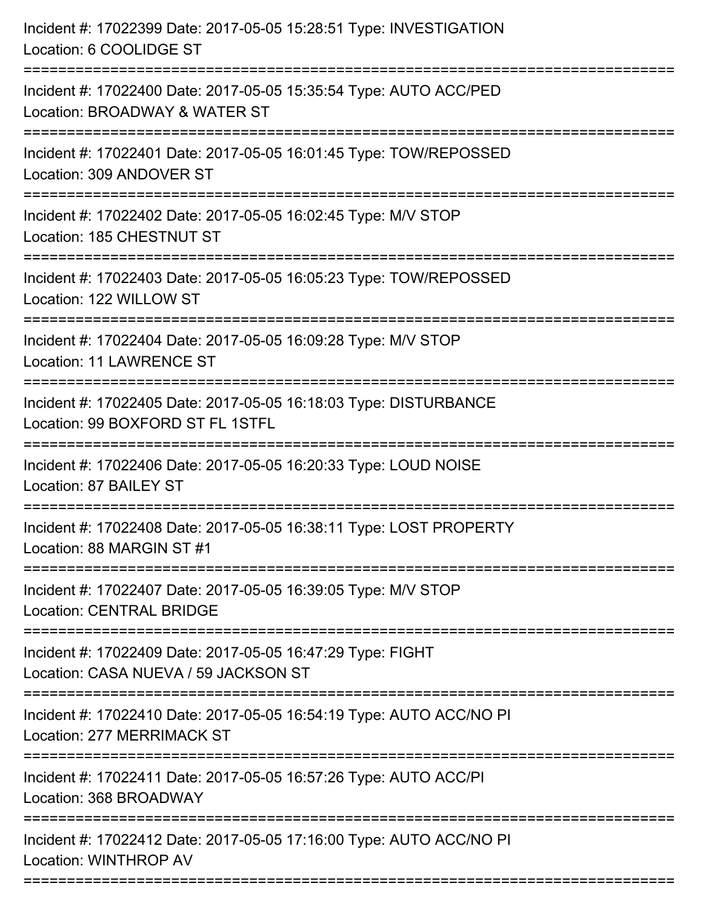| Incident #: 17022399 Date: 2017-05-05 15:28:51 Type: INVESTIGATION<br>Location: 6 COOLIDGE ST                                                                     |
|-------------------------------------------------------------------------------------------------------------------------------------------------------------------|
| Incident #: 17022400 Date: 2017-05-05 15:35:54 Type: AUTO ACC/PED<br>Location: BROADWAY & WATER ST                                                                |
| Incident #: 17022401 Date: 2017-05-05 16:01:45 Type: TOW/REPOSSED<br>Location: 309 ANDOVER ST<br>:=================================<br>========================== |
| Incident #: 17022402 Date: 2017-05-05 16:02:45 Type: M/V STOP<br>Location: 185 CHESTNUT ST                                                                        |
| Incident #: 17022403 Date: 2017-05-05 16:05:23 Type: TOW/REPOSSED<br>Location: 122 WILLOW ST                                                                      |
| Incident #: 17022404 Date: 2017-05-05 16:09:28 Type: M/V STOP<br><b>Location: 11 LAWRENCE ST</b>                                                                  |
| Incident #: 17022405 Date: 2017-05-05 16:18:03 Type: DISTURBANCE<br>Location: 99 BOXFORD ST FL 1STFL                                                              |
| Incident #: 17022406 Date: 2017-05-05 16:20:33 Type: LOUD NOISE<br>Location: 87 BAILEY ST                                                                         |
| Incident #: 17022408 Date: 2017-05-05 16:38:11 Type: LOST PROPERTY<br>Location: 88 MARGIN ST #1                                                                   |
| Incident #: 17022407 Date: 2017-05-05 16:39:05 Type: M/V STOP<br><b>Location: CENTRAL BRIDGE</b>                                                                  |
| Incident #: 17022409 Date: 2017-05-05 16:47:29 Type: FIGHT<br>Location: CASA NUEVA / 59 JACKSON ST                                                                |
| Incident #: 17022410 Date: 2017-05-05 16:54:19 Type: AUTO ACC/NO PI<br>Location: 277 MERRIMACK ST                                                                 |
| Incident #: 17022411 Date: 2017-05-05 16:57:26 Type: AUTO ACC/PI<br>Location: 368 BROADWAY                                                                        |
| Incident #: 17022412 Date: 2017-05-05 17:16:00 Type: AUTO ACC/NO PI<br>Location: WINTHROP AV                                                                      |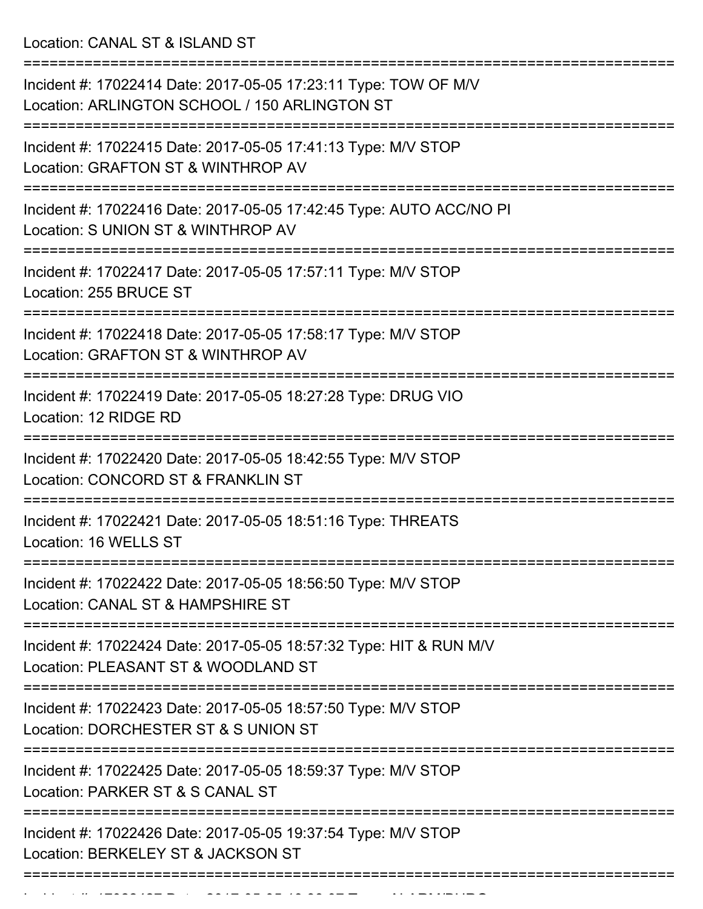Location: CANAL ST & ISLAND ST

| Incident #: 17022414 Date: 2017-05-05 17:23:11 Type: TOW OF M/V<br>Location: ARLINGTON SCHOOL / 150 ARLINGTON ST |
|------------------------------------------------------------------------------------------------------------------|
| Incident #: 17022415 Date: 2017-05-05 17:41:13 Type: M/V STOP<br>Location: GRAFTON ST & WINTHROP AV              |
| Incident #: 17022416 Date: 2017-05-05 17:42:45 Type: AUTO ACC/NO PI<br>Location: S UNION ST & WINTHROP AV        |
| Incident #: 17022417 Date: 2017-05-05 17:57:11 Type: M/V STOP<br>Location: 255 BRUCE ST                          |
| Incident #: 17022418 Date: 2017-05-05 17:58:17 Type: M/V STOP<br>Location: GRAFTON ST & WINTHROP AV              |
| Incident #: 17022419 Date: 2017-05-05 18:27:28 Type: DRUG VIO<br>Location: 12 RIDGE RD                           |
| Incident #: 17022420 Date: 2017-05-05 18:42:55 Type: M/V STOP<br>Location: CONCORD ST & FRANKLIN ST              |
| Incident #: 17022421 Date: 2017-05-05 18:51:16 Type: THREATS<br>Location: 16 WELLS ST                            |
| Incident #: 17022422 Date: 2017-05-05 18:56:50 Type: M/V STOP<br>Location: CANAL ST & HAMPSHIRE ST               |
| Incident #: 17022424 Date: 2017-05-05 18:57:32 Type: HIT & RUN M/V<br>Location: PLEASANT ST & WOODLAND ST        |
| Incident #: 17022423 Date: 2017-05-05 18:57:50 Type: M/V STOP<br>Location: DORCHESTER ST & S UNION ST            |
| Incident #: 17022425 Date: 2017-05-05 18:59:37 Type: M/V STOP<br>Location: PARKER ST & S CANAL ST                |
| Incident #: 17022426 Date: 2017-05-05 19:37:54 Type: M/V STOP<br>Location: BERKELEY ST & JACKSON ST              |
|                                                                                                                  |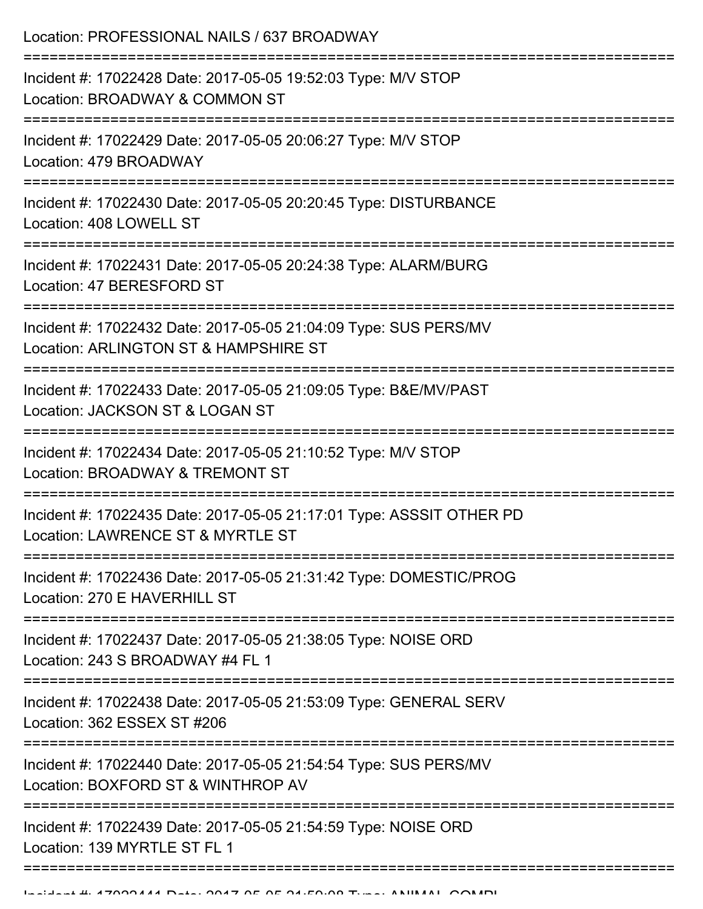Location: PROFESSIONAL NAILS / 637 BROADWAY =========================================================================== Incident #: 17022428 Date: 2017-05-05 19:52:03 Type: M/V STOP Location: BROADWAY & COMMON ST =========================================================================== Incident #: 17022429 Date: 2017-05-05 20:06:27 Type: M/V STOP Location: 479 BROADWAY =========================================================================== Incident #: 17022430 Date: 2017-05-05 20:20:45 Type: DISTURBANCE Location: 408 LOWELL ST =========================================================================== Incident #: 17022431 Date: 2017-05-05 20:24:38 Type: ALARM/BURG Location: 47 BERESFORD ST =========================================================================== Incident #: 17022432 Date: 2017-05-05 21:04:09 Type: SUS PERS/MV Location: ARLINGTON ST & HAMPSHIRE ST =========================================================================== Incident #: 17022433 Date: 2017-05-05 21:09:05 Type: B&E/MV/PAST Location: JACKSON ST & LOGAN ST =========================================================================== Incident #: 17022434 Date: 2017-05-05 21:10:52 Type: M/V STOP Location: BROADWAY & TREMONT ST =========================================================================== Incident #: 17022435 Date: 2017-05-05 21:17:01 Type: ASSSIT OTHER PD Location: LAWRENCE ST & MYRTLE ST =========================================================================== Incident #: 17022436 Date: 2017-05-05 21:31:42 Type: DOMESTIC/PROG Location: 270 E HAVERHILL ST =========================================================================== Incident #: 17022437 Date: 2017-05-05 21:38:05 Type: NOISE ORD Location: 243 S BROADWAY #4 FL 1 =========================================================================== Incident #: 17022438 Date: 2017-05-05 21:53:09 Type: GENERAL SERV Location: 362 ESSEX ST #206 =========================================================================== Incident #: 17022440 Date: 2017-05-05 21:54:54 Type: SUS PERS/MV Location: BOXFORD ST & WINTHROP AV =========================================================================== Incident #: 17022439 Date: 2017-05-05 21:54:59 Type: NOISE ORD Location: 139 MYRTLE ST FL 1 ===========================================================================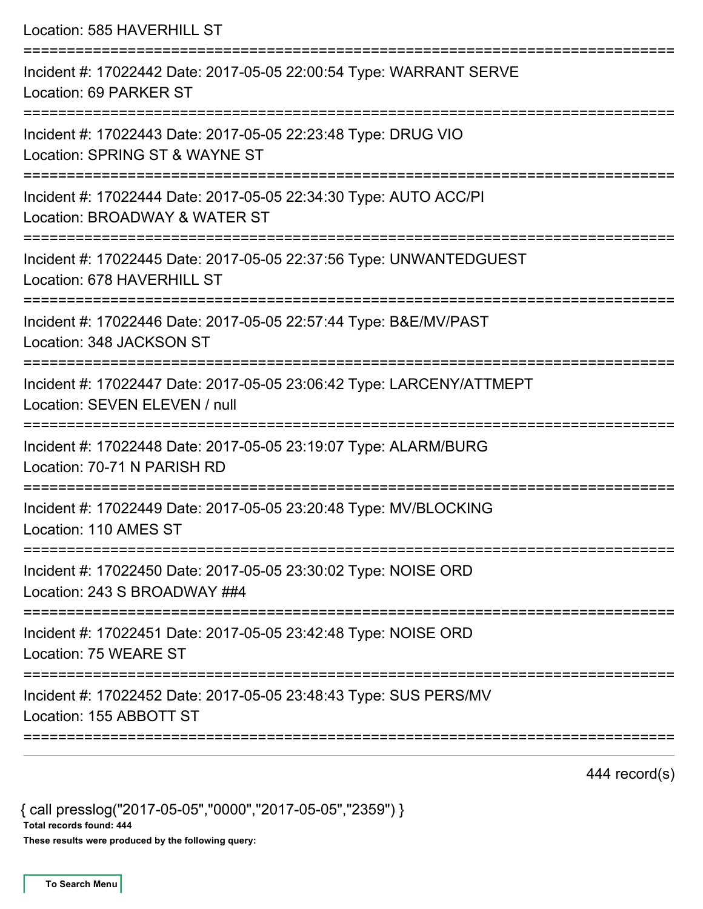Location: 585 HAVERHILL ST =========================================================================== Incident #: 17022442 Date: 2017-05-05 22:00:54 Type: WARRANT SERVE Location: 69 PARKER ST =========================================================================== Incident #: 17022443 Date: 2017-05-05 22:23:48 Type: DRUG VIO Location: SPRING ST & WAYNE ST =========================================================================== Incident #: 17022444 Date: 2017-05-05 22:34:30 Type: AUTO ACC/PI Location: BROADWAY & WATER ST =========================================================================== Incident #: 17022445 Date: 2017-05-05 22:37:56 Type: UNWANTEDGUEST Location: 678 HAVERHILL ST =========================================================================== Incident #: 17022446 Date: 2017-05-05 22:57:44 Type: B&E/MV/PAST Location: 348 JACKSON ST =========================================================================== Incident #: 17022447 Date: 2017-05-05 23:06:42 Type: LARCENY/ATTMEPT Location: SEVEN ELEVEN / null =========================================================================== Incident #: 17022448 Date: 2017-05-05 23:19:07 Type: ALARM/BURG Location: 70-71 N PARISH RD =========================================================================== Incident #: 17022449 Date: 2017-05-05 23:20:48 Type: MV/BLOCKING Location: 110 AMES ST =========================================================================== Incident #: 17022450 Date: 2017-05-05 23:30:02 Type: NOISE ORD Location: 243 S BROADWAY ##4 =========================================================================== Incident #: 17022451 Date: 2017-05-05 23:42:48 Type: NOISE ORD Location: 75 WEARE ST =========================================================================== Incident #: 17022452 Date: 2017-05-05 23:48:43 Type: SUS PERS/MV Location: 155 ABBOTT ST ===========================================================================

444 record(s)

{ call presslog("2017-05-05","0000","2017-05-05","2359") } Total records found: 444

These results were produced by the following query: